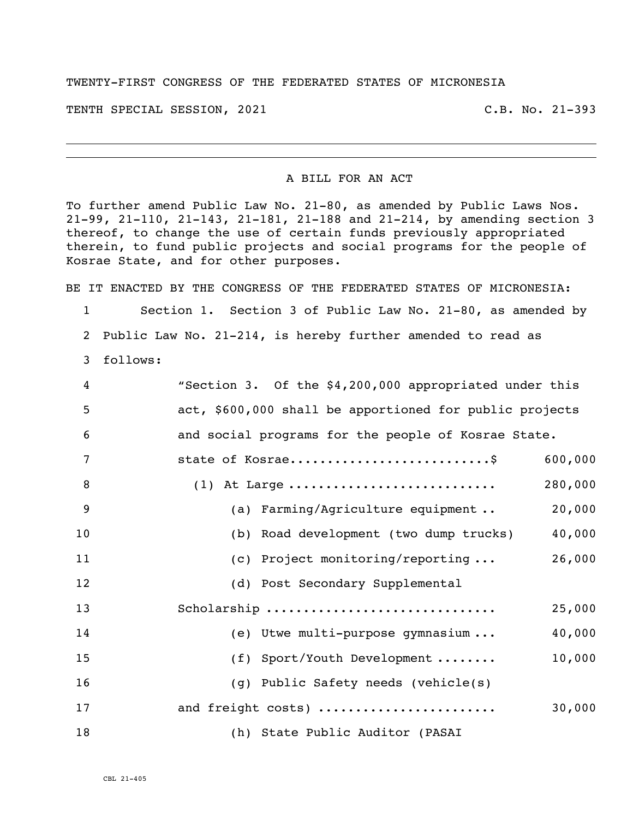## TWENTY-FIRST CONGRESS OF THE FEDERATED STATES OF MICRONESIA

TENTH SPECIAL SESSION, 2021 C.B. No. 21-393

i<br>L

## A BILL FOR AN ACT

To further amend Public Law No. 21-80, as amended by Public Laws Nos. 21-99, 21-110, 21-143, 21-181, 21-188 and 21-214, by amending section 3 thereof, to change the use of certain funds previously appropriated therein, to fund public projects and social programs for the people of Kosrae State, and for other purposes.

BE IT ENACTED BY THE CONGRESS OF THE FEDERATED STATES OF MICRONESIA:

1 Section 1. Section 3 of Public Law No. 21-80, as amended by 2 Public Law No. 21-214, is hereby further amended to read as

3 follows:

| 4  | "Section 3. Of the \$4,200,000 appropriated under this  |
|----|---------------------------------------------------------|
| 5  | act, \$600,000 shall be apportioned for public projects |
| 6  | and social programs for the people of Kosrae State.     |
| 7  | 600,000                                                 |
| 8  | 280,000<br>$(1)$ At Large                               |
| 9  | (a) Farming/Agriculture equipment<br>20,000             |
| 10 | 40,000<br>(b) Road development (two dump trucks)        |
| 11 | (c) Project monitoring/reporting $\ldots$<br>26,000     |
| 12 | (d) Post Secondary Supplemental                         |
| 13 | Scholarship<br>25,000                                   |
| 14 | (e) Utwe multi-purpose gymnasium<br>40,000              |
| 15 | 10,000<br>(f) Sport/Youth Development                   |
| 16 | (g) Public Safety needs (vehicle(s)                     |
| 17 | 30,000<br>and freight costs)                            |
| 18 | (h) State Public Auditor (PASAI                         |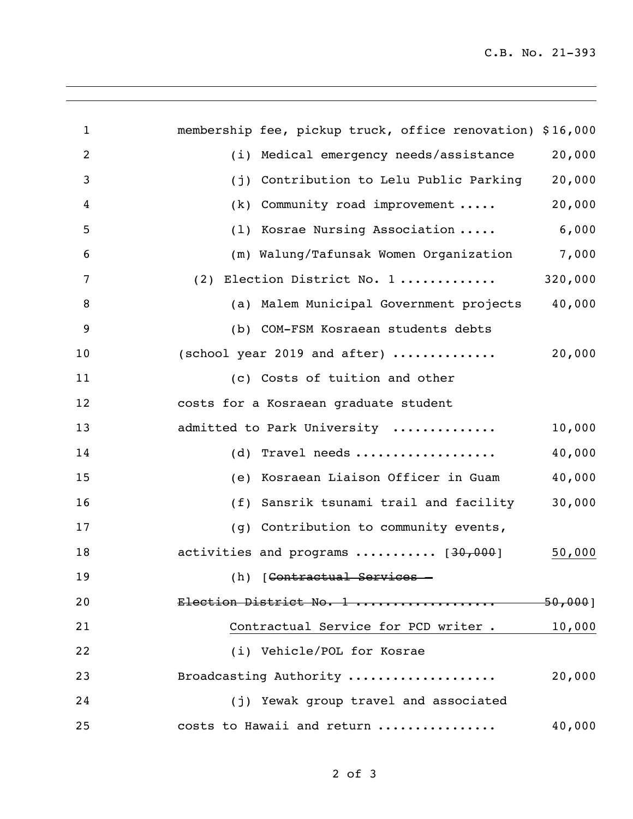| 1              | membership fee, pickup truck, office renovation) \$16,000 |             |
|----------------|-----------------------------------------------------------|-------------|
|                |                                                           |             |
| 2              | (i) Medical emergency needs/assistance                    | 20,000      |
| 3              | (j) Contribution to Lelu Public Parking                   | 20,000      |
| 4              | $(k)$ Community road improvement                          | 20,000      |
| 5              | (1) Kosrae Nursing Association                            | 6,000       |
| 6              | (m) Walung/Tafunsak Women Organization                    | 7,000       |
| 7              | (2) Election District No. 1                               | 320,000     |
| 8              | (a) Malem Municipal Government projects                   | 40,000      |
| $\overline{9}$ | (b) COM-FSM Kosraean students debts                       |             |
| 10             | (school year 2019 and after) $\dots\dots\dots\dots$       | 20,000      |
| 11             | (c) Costs of tuition and other                            |             |
| 12             | costs for a Kosraean graduate student                     |             |
| 13             | admitted to Park University                               | 10,000      |
| 14             | $(d)$ Travel needs                                        | 40,000      |
| 15             | (e) Kosraean Liaison Officer in Guam                      | 40,000      |
| 16             | (f) Sansrik tsunami trail and facility                    | 30,000      |
| 17             | (g) Contribution to community events,                     |             |
| 18             | activities and programs  [30,000]                         | 50,000      |
| 19             | (h) [Contractual Services -                               |             |
| 20             | Election District No. 1                                   | $-50,000$ ] |
| 21             | Contractual Service for PCD writer.                       | 10,000      |
| 22             | (i) Vehicle/POL for Kosrae                                |             |
| 23             | Broadcasting Authority                                    | 20,000      |
| 24             | (j) Yewak group travel and associated                     |             |
| 25             | costs to Hawaii and return                                | 40,000      |